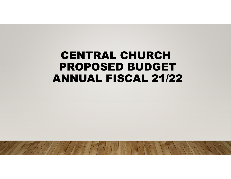# CENTRAL CHURCH PROPOSED BUDGET ANNUAL FISCAL 21/22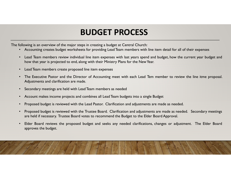## BUDGET PROCESS

- 
- The following is an overview of the major steps in creating a budget at Central Church:<br>
 Accounting creates budget worksheets for providing Lead Team members with line item detail for all of their expenses<br>
 Lead Team m **BUDGET PROCESS**<br>• Accounting is an overview of the major steps in creating a budget at Central Church:<br>• Accounting creates budget worksheets for providing Lead Team members with line item detail for all of their expenses
	-
	- **HOLT PROCESS**<br>
	hollowing is an overview of the major steps in creating a budget at Central Church:<br>
	 Accounting creates budget worksheets for providing Lead Team members with line item detail for all of their expenses<br>
	 **BUDGET PROCESS**<br>• Accounting creates budget worksheets for providing Lead Team members with line item detail for all of their expenses<br>• Lead Team members review individual line item expenses with last years spend and bud Sollowing is an overview of the major steps in creating a budget at Central Church:<br>
	• Accounting creates budget worksheets for providing Lead Team members with line item detail for all of their expenses<br>
	• Lead Team membe
	-
	-
	-
	- **BUDGET PROCESS**<br>
	Collowing is an overview of the major steps in creating a budget at Central Church:<br>
	Collowing creates budget worksheets for providing Lead Team members with line item detail for all of their expenses<br>
	Ce From the major steps in creating a budget at Central Church:<br>
	• Accounting creates budget worksheets for providing Lead Team members with limit ine item edial for all of their expenses<br>
	• Lead Team members review individua Lead Team members review individual line item expenses with last years s<br>how that year is projected to end, along with their Ministry Plans for the N<br>Lead Team members create proposed line item expenses<br>The Executive Pasto
	-

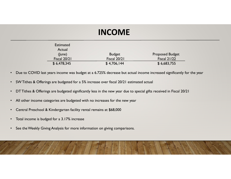# INCOME

|                                                                                                                                                                                                                      | <b>INCOME</b>                      |                                    |
|----------------------------------------------------------------------------------------------------------------------------------------------------------------------------------------------------------------------|------------------------------------|------------------------------------|
| <b>Estimated</b><br>Actual<br>(June)                                                                                                                                                                                 | <b>Budget</b>                      | <b>Proposed Budget</b>             |
| <b>Fiscal 20/21</b><br>\$6,478,345                                                                                                                                                                                   | <b>Fiscal 20/21</b><br>\$4,706,144 | <b>Fiscal 21/22</b><br>\$6,683,755 |
| • Due to COVID last years income was budget at a 6.725% decrease but actual income increased significantly for the year<br>• SW Tithes & Offerings are budgeted for a 5% increase over fiscal 20/21 estimated actual |                                    |                                    |
| • DT Tithes & Offerings are budgeted significantly less in the new year due to special gifts received in Fiscal 20/21                                                                                                |                                    |                                    |
| • All other income categories are budgeted with no increases for the new year                                                                                                                                        |                                    |                                    |
| • Central Preschool & Kindergarten facility rental remains at \$68,000                                                                                                                                               |                                    |                                    |
| Total income is budged for a 3.17% increase                                                                                                                                                                          |                                    |                                    |
| See the Weekly Giving Analysis for more information on giving comparisons.                                                                                                                                           |                                    |                                    |
|                                                                                                                                                                                                                      |                                    |                                    |

- 
- 
- 
- 
- 
- 
- 

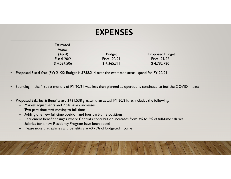### EXPENSES

| <b>EXPENSES</b><br><b>Estimated</b><br>Actual<br>(April)<br><b>Budget</b><br><b>Proposed Budget</b><br><b>Fiscal 21/22</b><br>Fiscal 20/21<br>Fiscal 20/21<br>\$4,034,506<br>\$4,365,311<br>\$4,792,720<br>Proposed Fiscal Year (FY) 21/22 Budget is \$758,214 over the estimated actual spend for FY 20/21<br>Proposed Salaries & Benefits are \$431,538 greater than actual FY 20/21 that includes the following:<br>Market adjustments and 2.5% salary increases<br>$\qquad \qquad -$<br>Two part-time staff moving to full-time<br>Adding one new full-time position and four part-time positions<br>$\overline{\phantom{m}}$<br>Retirement benefit changes where Central's contribution increases from 3% to 5% of full-time salaries<br>$\qquad \qquad -$<br>Salaries for a new Residency Program have been added<br>$\overline{\phantom{m}}$<br>Please note that salaries and benefits are 40.75% of budgeted income |  |  |  |
|-----------------------------------------------------------------------------------------------------------------------------------------------------------------------------------------------------------------------------------------------------------------------------------------------------------------------------------------------------------------------------------------------------------------------------------------------------------------------------------------------------------------------------------------------------------------------------------------------------------------------------------------------------------------------------------------------------------------------------------------------------------------------------------------------------------------------------------------------------------------------------------------------------------------------------|--|--|--|
|                                                                                                                                                                                                                                                                                                                                                                                                                                                                                                                                                                                                                                                                                                                                                                                                                                                                                                                             |  |  |  |
| • Spending in the first six months of FY 20/21 was less than planned as operations continued to feel the COVID impact                                                                                                                                                                                                                                                                                                                                                                                                                                                                                                                                                                                                                                                                                                                                                                                                       |  |  |  |
|                                                                                                                                                                                                                                                                                                                                                                                                                                                                                                                                                                                                                                                                                                                                                                                                                                                                                                                             |  |  |  |
|                                                                                                                                                                                                                                                                                                                                                                                                                                                                                                                                                                                                                                                                                                                                                                                                                                                                                                                             |  |  |  |
|                                                                                                                                                                                                                                                                                                                                                                                                                                                                                                                                                                                                                                                                                                                                                                                                                                                                                                                             |  |  |  |

- 
- 
- -
	-
	-
	-
	-
	-

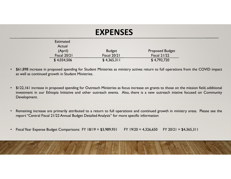# EXPENSES

|              |                                                                | <b>EXPENSES</b>                                                                             |                                                                                                                                                                                                                                                                       |  |
|--------------|----------------------------------------------------------------|---------------------------------------------------------------------------------------------|-----------------------------------------------------------------------------------------------------------------------------------------------------------------------------------------------------------------------------------------------------------------------|--|
|              | <b>Estimated</b><br>Actual<br>(April)                          | <b>Budget</b>                                                                               | <b>Proposed Budget</b>                                                                                                                                                                                                                                                |  |
|              | Fiscal 20/21<br>\$4,034,506                                    | Fiscal 20/21<br>\$4,365,311                                                                 | <b>Fiscal 21/22</b><br>\$4,792,720                                                                                                                                                                                                                                    |  |
|              | as well as continued growth in Student Ministries.             |                                                                                             | \$61,898 increase in proposed spending for Student Ministries as ministry actives return to full operations from the COVID impact                                                                                                                                     |  |
| Development. |                                                                |                                                                                             | \$122,161 increase in proposed spending for Outreach Ministries as focus increase on grants to those on the mission field, additional<br>investment in our Ethiopia Initiative and other outreach events. Also, there is a new outreach iniative focused on Community |  |
|              |                                                                | report "Central Fiscal 21/22 Annual Budget Detailed Analysis" for more specific information | Remaining increase are primarily attributed to a return to full operations and continued growth in ministry areas. Please see the                                                                                                                                     |  |
|              | Fiscal Year Expense Budget Comparisons: FY 18/19 = \$3,989,931 |                                                                                             | $FY$ 19/20 = 4,326,650<br>$FY$ 20/21 = \$4,365,311                                                                                                                                                                                                                    |  |

- Development. Fiscal 20/21 Fiscal 20/21 Fiscal 20/21 Fiscal 21/22 Fiscal 21/22 Fiscal 21/22 Fiscal 21/22 SA, 311 SA, 4792, 720<br>
Fiscal 21/22 SA, 4898 increase in proposed spending for Student Ministries as ministry actives return to fu
- 
-